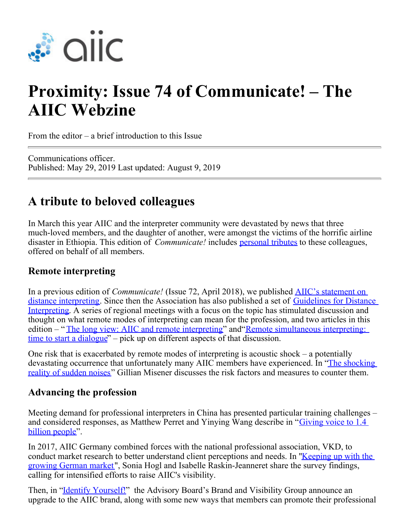

# **Proximity: Issue 74 of Communicate! – The AIIC Webzine**

From the editor – a brief introduction to this Issue

Communications officer. Published: May 29, 2019 Last updated: August 9, 2019

## **A tribute to beloved colleagues**

In March this year AIIC and the interpreter community were devastated by news that three much-loved members, and the daughter of another, were amongst the victims of the horrific airline disaster in Ethiopia. This edition of *Communicate!* includes [personal tributes](https://aiic.net/page/8814) to these colleagues, offered on behalf of all members.

#### **Remote interpreting**

In a previous edition of *Communicate!* (Issue 72, April 2018), we published [AIIC's statement on](https://members.aiic.net/page/8538) [distance interpreting](https://members.aiic.net/page/8538). Since then the Association has also published a set of [Guidelines for Distance](https://aiic.net/page/8734/aiic-guidelines-for-distance-interpreting-version-1-0/lang/1) [Interpreting](https://aiic.net/page/8734/aiic-guidelines-for-distance-interpreting-version-1-0/lang/1). A series of regional meetings with a focus on the topic has stimulated discussion and thought on what remote modes of interpreting can mean for the profession, and two articles in this edition – "[The long view: AIIC and remote interpreting](http://aiic.net/page/8816)" and "[Remote simultaneous interpreting:](https://aiic.net/page/8815) [time to start a dialogue](https://aiic.net/page/8815)" – pick up on different aspects of that discussion.

One risk that is exacerbated by remote modes of interpreting is acoustic shock – a potentially devastating occurrence that unfortunately many AIIC members have experienced. In ["The shocking](https://aiic.net/page/8811) [reality of sudden noises](https://aiic.net/page/8811)" Gillian Misener discusses the risk factors and measures to counter them.

#### **Advancing the profession**

Meeting demand for professional interpreters in China has presented particular training challenges – and considered responses, as Matthew Perret and Yinying Wang describe in "[Giving voice to 1.4](https://aiic.net/page/8813) [billion people](https://aiic.net/page/8813)".

In 2017, AIIC Germany combined forces with the national professional association, VKD, to conduct market research to better understand client perceptions and needs. In ["Keeping up with the](https://members.aiic.net/page/8823/) [growing German market](https://members.aiic.net/page/8823/)", Sonia Hogl and Isabelle Raskin-Jeanneret share the survey findings, calling for intensified efforts to raise AIIC's visibility.

Then, in "**Identify Yourself!**" the Advisory Board's Brand and Visibility Group announce an upgrade to the AIIC brand, along with some new ways that members can promote their professional